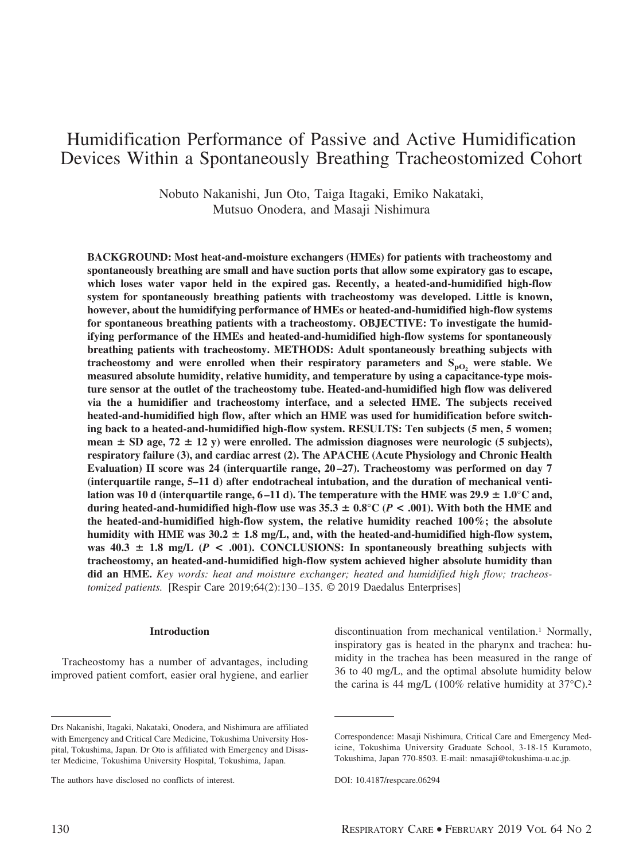# Humidification Performance of Passive and Active Humidification Devices Within a Spontaneously Breathing Tracheostomized Cohort

Nobuto Nakanishi, Jun Oto, Taiga Itagaki, Emiko Nakataki, Mutsuo Onodera, and Masaji Nishimura

**BACKGROUND: Most heat-and-moisture exchangers (HMEs) for patients with tracheostomy and spontaneously breathing are small and have suction ports that allow some expiratory gas to escape, which loses water vapor held in the expired gas. Recently, a heated-and-humidified high-flow system for spontaneously breathing patients with tracheostomy was developed. Little is known, however, about the humidifying performance of HMEs or heated-and-humidified high-flow systems for spontaneous breathing patients with a tracheostomy. OBJECTIVE: To investigate the humidifying performance of the HMEs and heated-and-humidified high-flow systems for spontaneously breathing patients with tracheostomy. METHODS: Adult spontaneously breathing subjects with** tracheostomy and were enrolled when their respiratory parameters and  $S_{pO}$ , were stable. We **measured absolute humidity, relative humidity, and temperature by using a capacitance-type moisture sensor at the outlet of the tracheostomy tube. Heated-and-humidified high flow was delivered via the a humidifier and tracheostomy interface, and a selected HME. The subjects received heated-and-humidified high flow, after which an HME was used for humidification before switching back to a heated-and-humidified high-flow system. RESULTS: Ten subjects (5 men, 5 women;** mean  $\pm$  SD age, 72  $\pm$  12 y) were enrolled. The admission diagnoses were neurologic (5 subjects), **respiratory failure (3), and cardiac arrest (2). The APACHE (Acute Physiology and Chronic Health** Evaluation) II score was 24 (interquartile range, 20–27). Tracheostomy was performed on day 7 **(interquartile range, 5–11 d) after endotracheal intubation, and the duration of mechanical venti**lation was 10 d (interquartile range, 6–11 d). The temperature with the HME was 29.9  $\pm$  1.0°C and, during heated-and-humidified high-flow use was  $35.3 \pm 0.8^{\circ}\mathrm{C}$  ( $P < .001$ ). With both the HME and **the heated-and-humidified high-flow system, the relative humidity reached 100%; the absolute** humidity with HME was  $30.2 \pm 1.8$  mg/L, and, with the heated-and-humidified high-flow system, was  $40.3 \pm 1.8$  mg/L ( $P < .001$ ). CONCLUSIONS: In spontaneously breathing subjects with **tracheostomy, an heated-and-humidified high-flow system achieved higher absolute humidity than did an HME.** *Key words: heat and moisture exchanger; heated and humidified high flow; tracheostomized patients.* [Respir Care 2019;64(2):130–135. © 2019 Daedalus Enterprises]

### **Introduction**

Tracheostomy has a number of advantages, including improved patient comfort, easier oral hygiene, and earlier discontinuation from mechanical ventilation.1 Normally, inspiratory gas is heated in the pharynx and trachea: humidity in the trachea has been measured in the range of 36 to 40 mg/L, and the optimal absolute humidity below the carina is 44 mg/L (100% relative humidity at  $37^{\circ}$ C).<sup>2</sup>

Drs Nakanishi, Itagaki, Nakataki, Onodera, and Nishimura are affiliated with Emergency and Critical Care Medicine, Tokushima University Hospital, Tokushima, Japan. Dr Oto is affiliated with Emergency and Disaster Medicine, Tokushima University Hospital, Tokushima, Japan.

The authors have disclosed no conflicts of interest.

Correspondence: Masaji Nishimura, Critical Care and Emergency Medicine, Tokushima University Graduate School, 3-18-15 Kuramoto, Tokushima, Japan 770-8503. E-mail: nmasaji@tokushima-u.ac.jp.

DOI: 10.4187/respcare.06294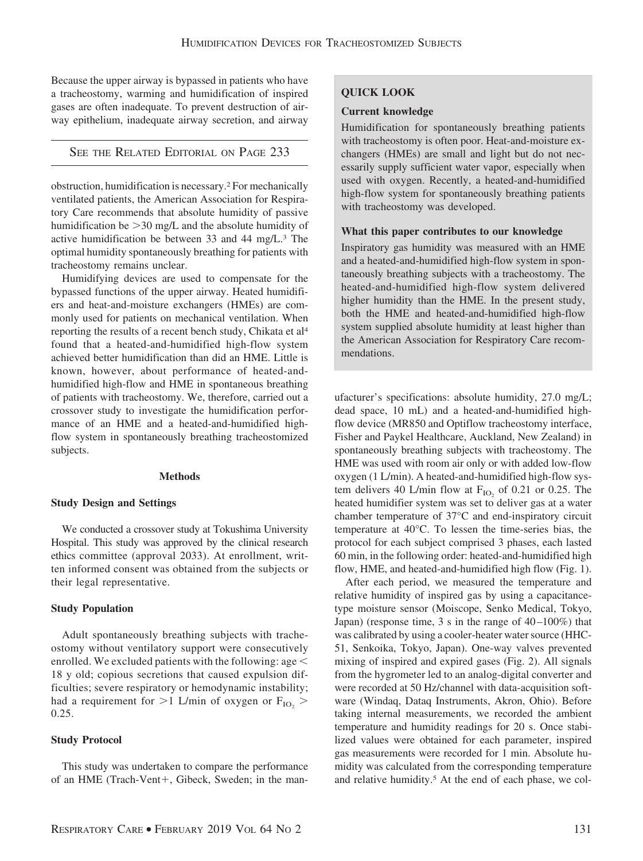Because the upper airway is bypassed in patients who have a tracheostomy, warming and humidification of inspired gases are often inadequate. To prevent destruction of airway epithelium, inadequate airway secretion, and airway

SEE THE RELATED EDITORIAL ON PAGE 233

obstruction, humidification is necessary.2 For mechanically ventilated patients, the American Association for Respiratory Care recommends that absolute humidity of passive humidification be  $>$ 30 mg/L and the absolute humidity of active humidification be between 33 and 44 mg/L.3 The optimal humidity spontaneously breathing for patients with tracheostomy remains unclear.

Humidifying devices are used to compensate for the bypassed functions of the upper airway. Heated humidifiers and heat-and-moisture exchangers (HMEs) are commonly used for patients on mechanical ventilation. When reporting the results of a recent bench study, Chikata et al4 found that a heated-and-humidified high-flow system achieved better humidification than did an HME. Little is known, however, about performance of heated-andhumidified high-flow and HME in spontaneous breathing of patients with tracheostomy. We, therefore, carried out a crossover study to investigate the humidification performance of an HME and a heated-and-humidified highflow system in spontaneously breathing tracheostomized subjects.

### **Methods**

# **Study Design and Settings**

We conducted a crossover study at Tokushima University Hospital. This study was approved by the clinical research ethics committee (approval 2033). At enrollment, written informed consent was obtained from the subjects or their legal representative.

# **Study Population**

Adult spontaneously breathing subjects with tracheostomy without ventilatory support were consecutively enrolled. We excluded patients with the following: age 18 y old; copious secretions that caused expulsion difficulties; severe respiratory or hemodynamic instability; had a requirement for  $>$ 1 L/min of oxygen or  $F_{IO_2}$   $>$ 0.25.

# **Study Protocol**

This study was undertaken to compare the performance of an HME (Trach-Vent+, Gibeck, Sweden; in the man-

# **QUICK LOOK**

# **Current knowledge**

Humidification for spontaneously breathing patients with tracheostomy is often poor. Heat-and-moisture exchangers (HMEs) are small and light but do not necessarily supply sufficient water vapor, especially when used with oxygen. Recently, a heated-and-humidified high-flow system for spontaneously breathing patients with tracheostomy was developed.

# **What this paper contributes to our knowledge**

Inspiratory gas humidity was measured with an HME and a heated-and-humidified high-flow system in spontaneously breathing subjects with a tracheostomy. The heated-and-humidified high-flow system delivered higher humidity than the HME. In the present study, both the HME and heated-and-humidified high-flow system supplied absolute humidity at least higher than the American Association for Respiratory Care recommendations.

ufacturer's specifications: absolute humidity, 27.0 mg/L; dead space, 10 mL) and a heated-and-humidified highflow device (MR850 and Optiflow tracheostomy interface, Fisher and Paykel Healthcare, Auckland, New Zealand) in spontaneously breathing subjects with tracheostomy. The HME was used with room air only or with added low-flow oxygen (1 L/min). A heated-and-humidified high-flow system delivers 40 L/min flow at  $F_{IO}$  of 0.21 or 0.25. The heated humidifier system was set to deliver gas at a water chamber temperature of 37°C and end-inspiratory circuit temperature at 40°C. To lessen the time-series bias, the protocol for each subject comprised 3 phases, each lasted 60 min, in the following order: heated-and-humidified high flow, HME, and heated-and-humidified high flow (Fig. 1).

After each period, we measured the temperature and relative humidity of inspired gas by using a capacitancetype moisture sensor (Moiscope, Senko Medical, Tokyo, Japan) (response time, 3 s in the range of 40–100%) that was calibrated by using a cooler-heater water source (HHC-51, Senkoika, Tokyo, Japan). One-way valves prevented mixing of inspired and expired gases (Fig. 2). All signals from the hygrometer led to an analog-digital converter and were recorded at 50 Hz/channel with data-acquisition software (Windaq, Dataq Instruments, Akron, Ohio). Before taking internal measurements, we recorded the ambient temperature and humidity readings for 20 s. Once stabilized values were obtained for each parameter, inspired gas measurements were recorded for 1 min. Absolute humidity was calculated from the corresponding temperature and relative humidity.<sup>5</sup> At the end of each phase, we col-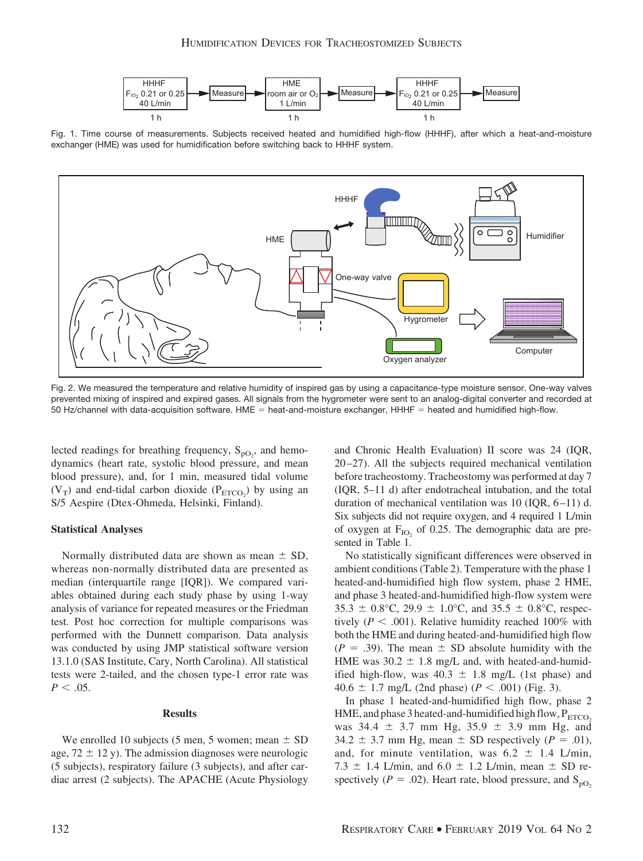

Fig. 1. Time course of measurements. Subjects received heated and humidified high-flow (HHHF), after which a heat-and-moisture exchanger (HME) was used for humidification before switching back to HHHF system.



Fig. 2. We measured the temperature and relative humidity of inspired gas by using a capacitance-type moisture sensor. One-way valves prevented mixing of inspired and expired gases. All signals from the hygrometer were sent to an analog-digital converter and recorded at 50 Hz/channel with data-acquisition software. HME = heat-and-moisture exchanger, HHHF = heated and humidified high-flow.

lected readings for breathing frequency,  $S_{pQ_2}$ , and hemodynamics (heart rate, systolic blood pressure, and mean blood pressure), and, for 1 min, measured tidal volume  $(V_T)$  and end-tidal carbon dioxide  $(P_{ETCO_2})$  by using an S/5 Aespire (Dtex-Ohmeda, Helsinki, Finland).

## **Statistical Analyses**

Normally distributed data are shown as mean  $\pm$  SD, whereas non-normally distributed data are presented as median (interquartile range [IQR]). We compared variables obtained during each study phase by using 1-way analysis of variance for repeated measures or the Friedman test. Post hoc correction for multiple comparisons was performed with the Dunnett comparison. Data analysis was conducted by using JMP statistical software version 13.1.0 (SAS Institute, Cary, North Carolina). All statistical tests were 2-tailed, and the chosen type-1 error rate was  $P < .05$ .

#### **Results**

We enrolled 10 subjects (5 men, 5 women; mean  $\pm$  SD age,  $72 \pm 12$  y). The admission diagnoses were neurologic (5 subjects), respiratory failure (3 subjects), and after cardiac arrest (2 subjects). The APACHE (Acute Physiology and Chronic Health Evaluation) II score was 24 (IQR, 20–27). All the subjects required mechanical ventilation before tracheostomy. Tracheostomy was performed at day 7 (IQR, 5–11 d) after endotracheal intubation, and the total duration of mechanical ventilation was 10 (IQR, 6–11) d. Six subjects did not require oxygen, and 4 required 1 L/min of oxygen at  $F_{IO}$  of 0.25. The demographic data are presented in Table 1.

No statistically significant differences were observed in ambient conditions (Table 2). Temperature with the phase 1 heated-and-humidified high flow system, phase 2 HME, and phase 3 heated-and-humidified high-flow system were  $35.3 \pm 0.8$ °C, 29.9  $\pm$  1.0°C, and 35.5  $\pm$  0.8°C, respectively ( $P < .001$ ). Relative humidity reached 100% with both the HME and during heated-and-humidified high flow  $(P = .39)$ . The mean  $\pm$  SD absolute humidity with the HME was  $30.2 \pm 1.8$  mg/L and, with heated-and-humidified high-flow, was  $40.3 \pm 1.8$  mg/L (1st phase) and 40.6  $\pm$  1.7 mg/L (2nd phase) ( $P < .001$ ) (Fig. 3).

In phase 1 heated-and-humidified high flow, phase 2 HME, and phase 3 heated-and-humidified high flow,  $P_{ETCO}$ . was  $34.4 \pm 3.7$  mm Hg,  $35.9 \pm 3.9$  mm Hg, and  $34.2 \pm 3.7$  mm Hg, mean  $\pm$  SD respectively ( $P = .01$ ), and, for minute ventilation, was  $6.2 \pm 1.4$  L/min, 7.3  $\pm$  1.4 L/min, and 6.0  $\pm$  1.2 L/min, mean  $\pm$  SD respectively ( $P = .02$ ). Heart rate, blood pressure, and S<sub>pO<sub>2</sub></sub>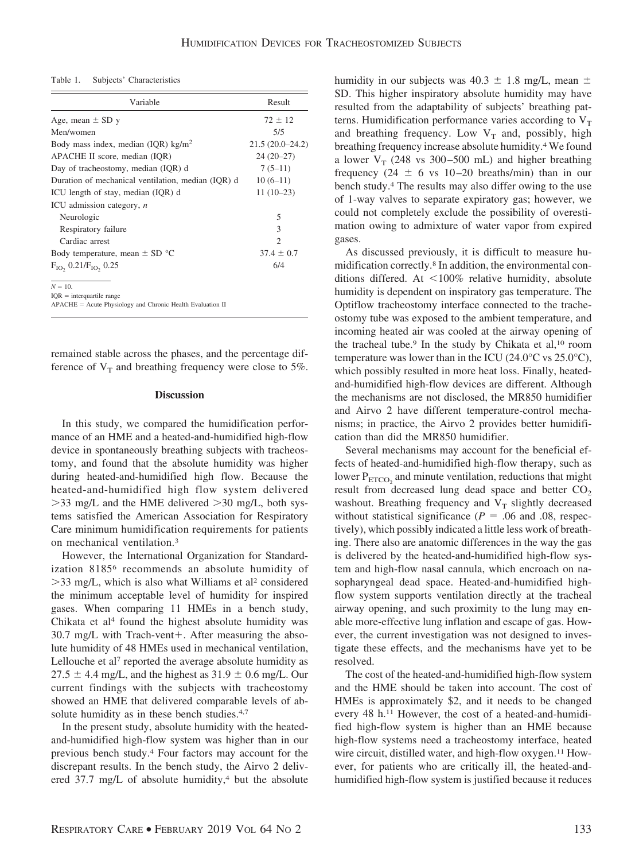Table 1. Subjects' Characteristics

| Variable                                           | Result            |
|----------------------------------------------------|-------------------|
| Age, mean $\pm$ SD y                               | $72 \pm 12$       |
| Men/women                                          | 5/5               |
| Body mass index, median (IQR) $\text{kg/m}^2$      | $21.5(20.0-24.2)$ |
| APACHE II score, median (IQR)                      | $24(20-27)$       |
| Day of tracheostomy, median (IQR) d                | $7(5-11)$         |
| Duration of mechanical ventilation, median (IQR) d | $10(6-11)$        |
| ICU length of stay, median (IQR) d                 | $11(10-23)$       |
| ICU admission category, $n$                        |                   |
| Neurologic                                         | 5                 |
| Respiratory failure                                | 3                 |
| Cardiac arrest                                     | $\mathfrak{D}$    |
| Body temperature, mean $\pm$ SD $^{\circ}$ C       | $37.4 \pm 0.7$    |
| $F_{IO}$ , 0.21/ $F_{IO}$ , 0.25                   | 6/4               |

 $N = 10$ .

 $IOR = interquartile range$ 

APACHE = Acute Physiology and Chronic Health Evaluation II

remained stable across the phases, and the percentage difference of  $V_T$  and breathing frequency were close to 5%.

#### **Discussion**

In this study, we compared the humidification performance of an HME and a heated-and-humidified high-flow device in spontaneously breathing subjects with tracheostomy, and found that the absolute humidity was higher during heated-and-humidified high flow. Because the heated-and-humidified high flow system delivered  $>$ 33 mg/L and the HME delivered  $>$ 30 mg/L, both systems satisfied the American Association for Respiratory Care minimum humidification requirements for patients on mechanical ventilation.3

However, the International Organization for Standardization 81856 recommends an absolute humidity of >33 mg/L, which is also what Williams et al<sup>2</sup> considered the minimum acceptable level of humidity for inspired gases. When comparing 11 HMEs in a bench study, Chikata et al<sup>4</sup> found the highest absolute humidity was  $30.7$  mg/L with Trach-vent+. After measuring the absolute humidity of 48 HMEs used in mechanical ventilation, Lellouche et al<sup>7</sup> reported the average absolute humidity as  $27.5 \pm 4.4$  mg/L, and the highest as  $31.9 \pm 0.6$  mg/L. Our current findings with the subjects with tracheostomy showed an HME that delivered comparable levels of absolute humidity as in these bench studies.<sup>4,7</sup>

In the present study, absolute humidity with the heatedand-humidified high-flow system was higher than in our previous bench study.4 Four factors may account for the discrepant results. In the bench study, the Airvo 2 delivered  $37.7 \text{ mg/L}$  of absolute humidity,<sup>4</sup> but the absolute humidity in our subjects was  $40.3 \pm 1.8$  mg/L, mean  $\pm$ SD. This higher inspiratory absolute humidity may have resulted from the adaptability of subjects' breathing patterns. Humidification performance varies according to  $V_T$ and breathing frequency. Low  $V_T$  and, possibly, high breathing frequency increase absolute humidity.4 We found a lower  $V_T$  (248 vs 300–500 mL) and higher breathing frequency (24  $\pm$  6 vs 10–20 breaths/min) than in our bench study.4 The results may also differ owing to the use of 1-way valves to separate expiratory gas; however, we could not completely exclude the possibility of overestimation owing to admixture of water vapor from expired gases.

As discussed previously, it is difficult to measure humidification correctly.8 In addition, the environmental conditions differed. At  $\leq 100\%$  relative humidity, absolute humidity is dependent on inspiratory gas temperature. The Optiflow tracheostomy interface connected to the tracheostomy tube was exposed to the ambient temperature, and incoming heated air was cooled at the airway opening of the tracheal tube.<sup>9</sup> In the study by Chikata et al,<sup>10</sup> room temperature was lower than in the ICU (24.0 $\degree$ C vs 25.0 $\degree$ C), which possibly resulted in more heat loss. Finally, heatedand-humidified high-flow devices are different. Although the mechanisms are not disclosed, the MR850 humidifier and Airvo 2 have different temperature-control mechanisms; in practice, the Airvo 2 provides better humidification than did the MR850 humidifier.

Several mechanisms may account for the beneficial effects of heated-and-humidified high-flow therapy, such as lower  $P_{ETCO_2}$  and minute ventilation, reductions that might result from decreased lung dead space and better  $CO<sub>2</sub>$ washout. Breathing frequency and  $V_T$  slightly decreased without statistical significance ( $P = .06$  and .08, respectively), which possibly indicated a little less work of breathing. There also are anatomic differences in the way the gas is delivered by the heated-and-humidified high-flow system and high-flow nasal cannula, which encroach on nasopharyngeal dead space. Heated-and-humidified highflow system supports ventilation directly at the tracheal airway opening, and such proximity to the lung may enable more-effective lung inflation and escape of gas. However, the current investigation was not designed to investigate these effects, and the mechanisms have yet to be resolved.

The cost of the heated-and-humidified high-flow system and the HME should be taken into account. The cost of HMEs is approximately \$2, and it needs to be changed every 48 h.11 However, the cost of a heated-and-humidified high-flow system is higher than an HME because high-flow systems need a tracheostomy interface, heated wire circuit, distilled water, and high-flow oxygen.<sup>11</sup> However, for patients who are critically ill, the heated-andhumidified high-flow system is justified because it reduces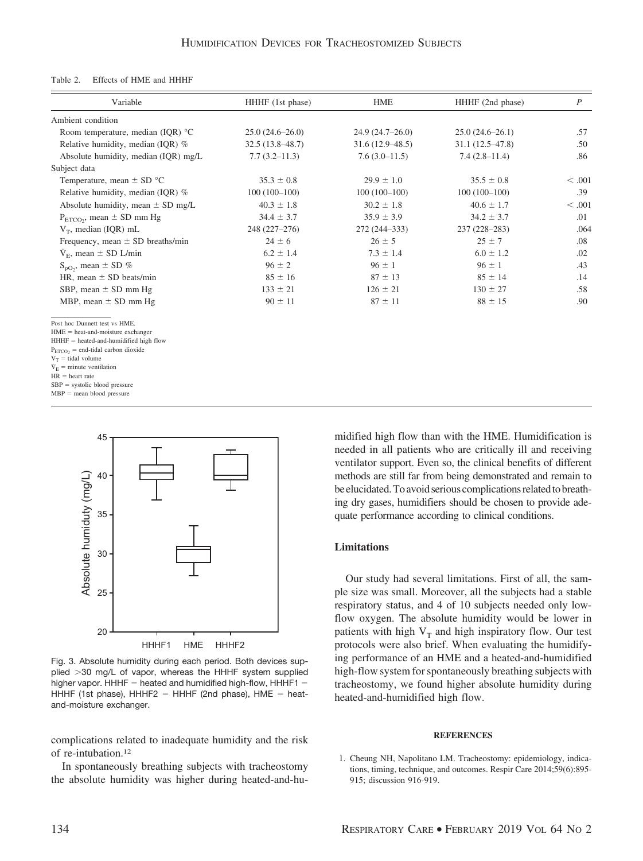#### Table 2. Effects of HME and HHHF

| Variable                                                                                                                                                                                                                                                                                                      | HHHF (1st phase)    | <b>HME</b>          | HHHF (2nd phase)    | $\boldsymbol{P}$ |
|---------------------------------------------------------------------------------------------------------------------------------------------------------------------------------------------------------------------------------------------------------------------------------------------------------------|---------------------|---------------------|---------------------|------------------|
| Ambient condition                                                                                                                                                                                                                                                                                             |                     |                     |                     |                  |
| Room temperature, median (IQR) °C                                                                                                                                                                                                                                                                             | $25.0(24.6 - 26.0)$ | $24.9(24.7-26.0)$   | $25.0(24.6-26.1)$   | .57              |
| Relative humidity, median (IQR) %                                                                                                                                                                                                                                                                             | $32.5(13.8 - 48.7)$ | $31.6(12.9 - 48.5)$ | $31.1(12.5 - 47.8)$ | .50              |
| Absolute humidity, median (IQR) mg/L                                                                                                                                                                                                                                                                          | $7.7(3.2 - 11.3)$   | $7.6(3.0-11.5)$     | $7.4(2.8-11.4)$     | .86              |
| Subject data                                                                                                                                                                                                                                                                                                  |                     |                     |                     |                  |
| Temperature, mean $\pm$ SD $^{\circ}$ C                                                                                                                                                                                                                                                                       | $35.3 \pm 0.8$      | $29.9 \pm 1.0$      | $35.5 \pm 0.8$      | < 0.001          |
| Relative humidity, median (IQR) %                                                                                                                                                                                                                                                                             | $100(100-100)$      | $100(100-100)$      | $100(100-100)$      | .39              |
| Absolute humidity, mean $\pm$ SD mg/L                                                                                                                                                                                                                                                                         | $40.3 \pm 1.8$      | $30.2 \pm 1.8$      | $40.6 \pm 1.7$      | < 0.001          |
| $P_{ETCO_2}$ , mean $\pm$ SD mm Hg                                                                                                                                                                                                                                                                            | $34.4 \pm 3.7$      | $35.9 \pm 3.9$      | $34.2 \pm 3.7$      | .01              |
| $V_T$ , median (IQR) mL                                                                                                                                                                                                                                                                                       | 248 (227-276)       | 272 (244-333)       | 237 (228-283)       | .064             |
| Frequency, mean $\pm$ SD breaths/min                                                                                                                                                                                                                                                                          | $24 \pm 6$          | $26 \pm 5$          | $25 \pm 7$          | .08              |
| $V_{\rm E}$ , mean $\pm$ SD L/min                                                                                                                                                                                                                                                                             | $6.2 \pm 1.4$       | $7.3 \pm 1.4$       | $6.0 \pm 1.2$       | .02              |
| $S_{pQ_2}$ , mean $\pm$ SD %                                                                                                                                                                                                                                                                                  | $96 \pm 2$          | $96 \pm 1$          | $96 \pm 1$          | .43              |
| HR, mean $\pm$ SD beats/min                                                                                                                                                                                                                                                                                   | $85 \pm 16$         | $87 \pm 13$         | $85 \pm 14$         | .14              |
| SBP, mean ± SD mm Hg                                                                                                                                                                                                                                                                                          | $133 \pm 21$        | $126 \pm 21$        | $130 \pm 27$        | .58              |
| MBP, mean $\pm$ SD mm Hg                                                                                                                                                                                                                                                                                      | $90 \pm 11$         | $87 \pm 11$         | $88 \pm 15$         | .90              |
| Post hoc Dunnett test vs HME.<br>$HME = heat-and-moisture exchanger$<br>$HHHF = heated-and-humidified high flow$<br>$P_{ETCO2}$ = end-tidal carbon dioxide<br>$V_T$ = tidal volume<br>$\dot{V}_E$ = minute ventilation<br>$HR = heart$ rate<br>$SBP = systolic blood pressure$<br>$MBP$ = mean blood pressure |                     |                     |                     |                  |



Fig. 3. Absolute humidity during each period. Both devices supplied -30 mg/L of vapor, whereas the HHHF system supplied higher vapor. HHHF = heated and humidified high-flow, HHHF1 = HHHF (1st phase), HHHF2 = HHHF (2nd phase), HME = heatand-moisture exchanger.

complications related to inadequate humidity and the risk of re-intubation.12

In spontaneously breathing subjects with tracheostomy the absolute humidity was higher during heated-and-humidified high flow than with the HME. Humidification is needed in all patients who are critically ill and receiving ventilator support. Even so, the clinical benefits of different methods are still far from being demonstrated and remain to be elucidated. To avoid serious complications related to breathing dry gases, humidifiers should be chosen to provide adequate performance according to clinical conditions.

### **Limitations**

Our study had several limitations. First of all, the sample size was small. Moreover, all the subjects had a stable respiratory status, and 4 of 10 subjects needed only lowflow oxygen. The absolute humidity would be lower in patients with high  $V_T$  and high inspiratory flow. Our test protocols were also brief. When evaluating the humidifying performance of an HME and a heated-and-humidified high-flow system for spontaneously breathing subjects with tracheostomy, we found higher absolute humidity during heated-and-humidified high flow.

#### **REFERENCES**

1. Cheung NH, Napolitano LM. Tracheostomy: epidemiology, indications, timing, technique, and outcomes. Respir Care 2014;59(6):895- 915; discussion 916-919.